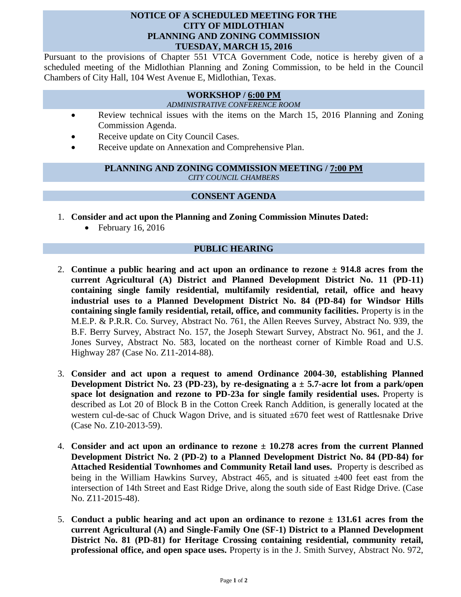### **NOTICE OF A SCHEDULED MEETING FOR THE CITY OF MIDLOTHIAN PLANNING AND ZONING COMMISSION TUESDAY, MARCH 15, 2016**

Pursuant to the provisions of Chapter 551 VTCA Government Code, notice is hereby given of a scheduled meeting of the Midlothian Planning and Zoning Commission, to be held in the Council Chambers of City Hall, 104 West Avenue E, Midlothian, Texas.

# **WORKSHOP / 6:00 PM**

*ADMINISTRATIVE CONFERENCE ROOM*

- Review technical issues with the items on the March 15, 2016 Planning and Zoning Commission Agenda.
- Receive update on City Council Cases.
- Receive update on Annexation and Comprehensive Plan.

#### **PLANNING AND ZONING COMMISSION MEETING / 7:00 PM** *CITY COUNCIL CHAMBERS*

# **CONSENT AGENDA**

- 1. **Consider and act upon the Planning and Zoning Commission Minutes Dated:** 
	- $\bullet$  February 16, 2016

# **PUBLIC HEARING**

- 2. **Continue a public hearing and act upon an ordinance to rezone ± 914.8 acres from the current Agricultural (A) District and Planned Development District No. 11 (PD-11) containing single family residential, multifamily residential, retail, office and heavy industrial uses to a Planned Development District No. 84 (PD-84) for Windsor Hills containing single family residential, retail, office, and community facilities.** Property is in the M.E.P. & P.R.R. Co. Survey, Abstract No. 761, the Allen Reeves Survey, Abstract No. 939, the B.F. Berry Survey, Abstract No. 157, the Joseph Stewart Survey, Abstract No. 961, and the J. Jones Survey, Abstract No. 583, located on the northeast corner of Kimble Road and U.S. Highway 287 (Case No. Z11-2014-88).
- 3. **Consider and act upon a request to amend Ordinance 2004-30, establishing Planned Development District No. 23 (PD-23), by re-designating a ± 5.7-acre lot from a park/open space lot designation and rezone to PD-23a for single family residential uses.** Property is described as Lot 20 of Block B in the Cotton Creek Ranch Addition, is generally located at the western cul-de-sac of Chuck Wagon Drive, and is situated  $\pm 670$  feet west of Rattlesnake Drive (Case No. Z10-2013-59).
- 4. **Consider and act upon an ordinance to rezone ± 10.278 acres from the current Planned Development District No. 2 (PD-2) to a Planned Development District No. 84 (PD-84) for Attached Residential Townhomes and Community Retail land uses.** Property is described as being in the William Hawkins Survey, Abstract 465, and is situated  $\pm 400$  feet east from the intersection of 14th Street and East Ridge Drive, along the south side of East Ridge Drive. (Case No. Z11-2015-48).
- 5. **Conduct a public hearing and act upon an ordinance to rezone ± 131.61 acres from the current Agricultural (A) and Single-Family One (SF-1) District to a Planned Development District No. 81 (PD-81) for Heritage Crossing containing residential, community retail, professional office, and open space uses.** Property is in the J. Smith Survey, Abstract No. 972,